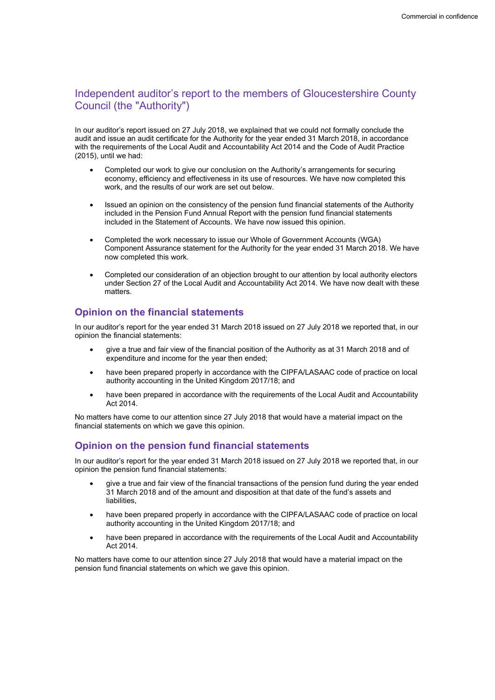# Independent auditor's report to the members of Gloucestershire County Council (the "Authority")

In our auditor's report issued on 27 July 2018, we explained that we could not formally conclude the audit and issue an audit certificate for the Authority for the year ended 31 March 2018, in accordance with the requirements of the Local Audit and Accountability Act 2014 and the Code of Audit Practice (2015), until we had:

- Completed our work to give our conclusion on the Authority's arrangements for securing economy, efficiency and effectiveness in its use of resources. We have now completed this work, and the results of our work are set out below.
- Issued an opinion on the consistency of the pension fund financial statements of the Authority included in the Pension Fund Annual Report with the pension fund financial statements included in the Statement of Accounts. We have now issued this opinion.
- Completed the work necessary to issue our Whole of Government Accounts (WGA) Component Assurance statement for the Authority for the year ended 31 March 2018. We have now completed this work.
- Completed our consideration of an objection brought to our attention by local authority electors under Section 27 of the Local Audit and Accountability Act 2014. We have now dealt with these matters.

# Opinion on the financial statements

In our auditor's report for the year ended 31 March 2018 issued on 27 July 2018 we reported that, in our opinion the financial statements:

- give a true and fair view of the financial position of the Authority as at 31 March 2018 and of expenditure and income for the year then ended;
- have been prepared properly in accordance with the CIPFA/LASAAC code of practice on local authority accounting in the United Kingdom 2017/18; and
- have been prepared in accordance with the requirements of the Local Audit and Accountability Act 2014.

No matters have come to our attention since 27 July 2018 that would have a material impact on the financial statements on which we gave this opinion.

# Opinion on the pension fund financial statements

In our auditor's report for the year ended 31 March 2018 issued on 27 July 2018 we reported that, in our opinion the pension fund financial statements:

- give a true and fair view of the financial transactions of the pension fund during the year ended 31 March 2018 and of the amount and disposition at that date of the fund's assets and liabilities,
- have been prepared properly in accordance with the CIPFA/LASAAC code of practice on local authority accounting in the United Kingdom 2017/18; and
- have been prepared in accordance with the requirements of the Local Audit and Accountability Act 2014.

No matters have come to our attention since 27 July 2018 that would have a material impact on the pension fund financial statements on which we gave this opinion.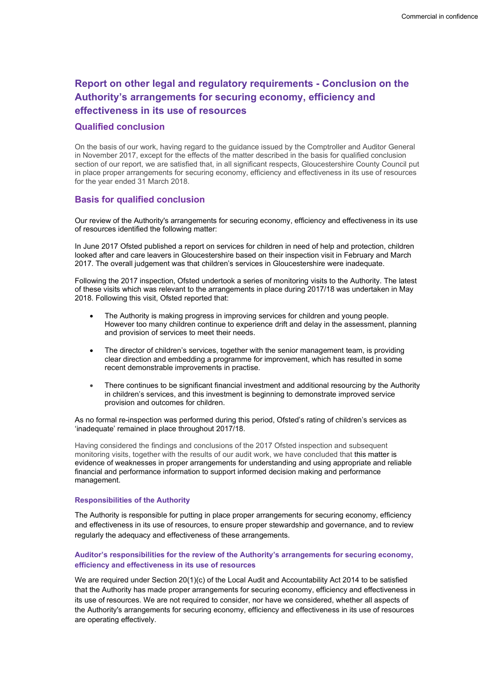# Report on other legal and regulatory requirements - Conclusion on the Authority's arrangements for securing economy, efficiency and effectiveness in its use of resources

## Qualified conclusion

On the basis of our work, having regard to the guidance issued by the Comptroller and Auditor General in November 2017, except for the effects of the matter described in the basis for qualified conclusion section of our report, we are satisfied that, in all significant respects. Gloucestershire County Council put in place proper arrangements for securing economy, efficiency and effectiveness in its use of resources for the year ended 31 March 2018.

## Basis for qualified conclusion

Our review of the Authority's arrangements for securing economy, efficiency and effectiveness in its use of resources identified the following matter:

In June 2017 Ofsted published a report on services for children in need of help and protection, children looked after and care leavers in Gloucestershire based on their inspection visit in February and March 2017. The overall judgement was that children's services in Gloucestershire were inadequate.

Following the 2017 inspection, Ofsted undertook a series of monitoring visits to the Authority. The latest of these visits which was relevant to the arrangements in place during 2017/18 was undertaken in May 2018. Following this visit, Ofsted reported that:

- The Authority is making progress in improving services for children and young people. However too many children continue to experience drift and delay in the assessment, planning and provision of services to meet their needs.
- The director of children's services, together with the senior management team, is providing clear direction and embedding a programme for improvement, which has resulted in some recent demonstrable improvements in practise.
- There continues to be significant financial investment and additional resourcing by the Authority in children's services, and this investment is beginning to demonstrate improved service provision and outcomes for children.

As no formal re-inspection was performed during this period, Ofsted's rating of children's services as 'inadequate' remained in place throughout 2017/18.

Having considered the findings and conclusions of the 2017 Ofsted inspection and subsequent monitoring visits, together with the results of our audit work, we have concluded that this matter is evidence of weaknesses in proper arrangements for understanding and using appropriate and reliable financial and performance information to support informed decision making and performance management.

#### Responsibilities of the Authority

The Authority is responsible for putting in place proper arrangements for securing economy, efficiency and effectiveness in its use of resources, to ensure proper stewardship and governance, and to review regularly the adequacy and effectiveness of these arrangements.

## Auditor's responsibilities for the review of the Authority's arrangements for securing economy, efficiency and effectiveness in its use of resources

We are required under Section 20(1)(c) of the Local Audit and Accountability Act 2014 to be satisfied that the Authority has made proper arrangements for securing economy, efficiency and effectiveness in its use of resources. We are not required to consider, nor have we considered, whether all aspects of the Authority's arrangements for securing economy, efficiency and effectiveness in its use of resources are operating effectively.